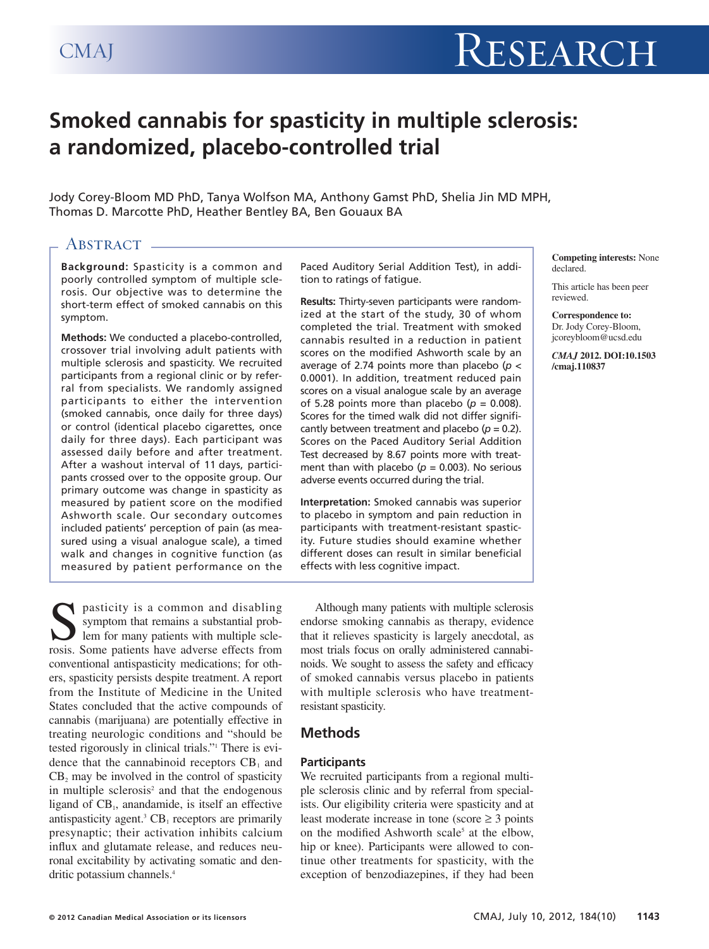# **Smoked cannabis for spasticity in multiple sclerosis: a randomized, placebo-controlled trial**

Jody Corey-Bloom MD PhD, Tanya Wolfson MA, Anthony Gamst PhD, Shelia Jin MD MPH, Thomas D. Marcotte PhD, Heather Bentley BA, Ben Gouaux BA

# ABSTRACT -

**Background:** Spasticity is a common and poorly controlled symptom of multiple sclerosis. Our objective was to determine the short-term effect of smoked cannabis on this symptom.

**Methods:** We conducted a placebo-controlled, crossover trial involving adult patients with multiple sclerosis and spasticity. We recruited participants from a regional clinic or by referral from specialists. We randomly assigned participants to either the intervention (smoked cannabis, once daily for three days) or control (identical placebo cigarettes, once daily for three days). Each participant was assessed daily before and after treatment. After a washout interval of 11 days, participants crossed over to the opposite group. Our primary outcome was change in spasticity as measured by patient score on the modified Ashworth scale. Our secondary outcomes included patients' perception of pain (as measured using a visual analogue scale), a timed walk and changes in cognitive function (as measured by patient performance on the Paced Auditory Serial Addition Test), in addition to ratings of fatigue.

**Results:** Thirty-seven participants were randomized at the start of the study, 30 of whom completed the trial. Treatment with smoked cannabis resulted in a reduction in patient scores on the modified Ashworth scale by an average of 2.74 points more than placebo (*p* < 0.0001). In addition, treatment reduced pain scores on a visual analogue scale by an average of 5.28 points more than placebo ( $p = 0.008$ ). Scores for the timed walk did not differ significantly between treatment and placebo ( $p = 0.2$ ). Scores on the Paced Auditory Serial Addition Test decreased by 8.67 points more with treatment than with placebo ( $p = 0.003$ ). No serious adverse events occurred during the trial.

**Interpretation:** Smoked cannabis was superior to placebo in symptom and pain reduction in participants with treatment-resistant spasticity. Future studies should examine whether different doses can result in similar beneficial effects with less cognitive impact.

pasticity is a common and disabling symptom that remains a substantial problem for many patients with multiple sclerosis. Some patients have adverse effects from conventional antispasticity medications; for others, spasticity persists despite treatment. A report from the Institute of Medicine in the United States concluded that the active compounds of cannabis (marijuana) are potentially effective in treating neurologic conditions and "should be tested rigorously in clinical trials."1 There is evidence that the cannabinoid receptors  $CB<sub>1</sub>$  and  $CB<sub>2</sub>$  may be involved in the control of spasticity in multiple sclerosis<sup>2</sup> and that the endogenous ligand of  $CB<sub>1</sub>$ , anandamide, is itself an effective antispasticity agent.<sup>3</sup>  $CB_1$  receptors are primarily presynaptic; their activation inhibits calcium influx and glutamate release, and reduces neuronal excitability by activating somatic and dendritic potassium channels.<sup>4</sup>

Although many patients with multiple sclerosis endorse smoking cannabis as therapy, evidence that it relieves spasticity is largely anecdotal, as most trials focus on orally administered cannabinoids. We sought to assess the safety and efficacy of smoked cannabis versus placebo in patients with multiple sclerosis who have treatmentresistant spasticity.

# **Methods**

#### **Participants**

We recruited participants from a regional multiple sclerosis clinic and by referral from specialists. Our eligibility criteria were spasticity and at least moderate increase in tone (score  $\geq$  3 points on the modified Ashworth scale<sup>5</sup> at the elbow, hip or knee). Participants were allowed to continue other treatments for spasticity, with the exception of benzodiazepines, if they had been

**Competing interests:** None declared.

This article has been peer reviewed.

**Correspondence to:**  Dr. Jody Corey-Bloom, jcoreybloom@ucsd.edu

*CMAJ* **2012. DOI:10.1503 /cmaj.110837**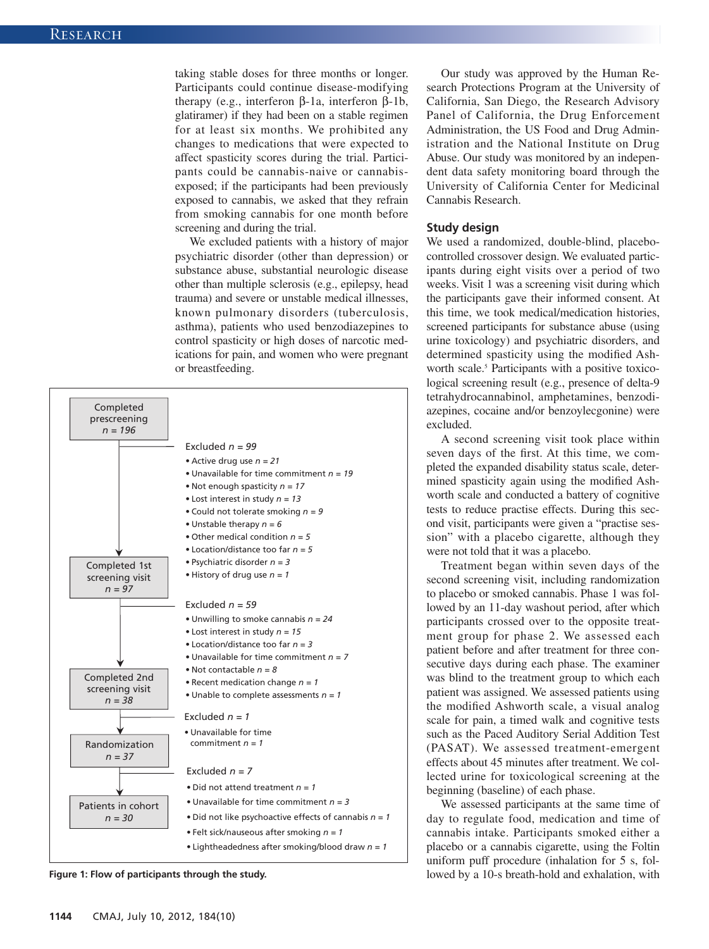taking stable doses for three months or longer. Participants could continue disease-modifying therapy (e.g., interferon β-1a, interferon β-1b, glatiramer) if they had been on a stable regimen for at least six months. We prohibited any changes to medications that were expected to affect spasticity scores during the trial. Participants could be cannabis-naive or cannabisexposed; if the participants had been previously exposed to cannabis, we asked that they refrain from smoking cannabis for one month before screening and during the trial.

We excluded patients with a history of major psychiatric disorder (other than depression) or substance abuse, substantial neurologic disease other than multiple sclerosis (e.g., epilepsy, head trauma) and severe or unstable medical illnesses, known pulmonary disorders (tuberculosis, asthma), patients who used benzodiazepines to control spasticity or high doses of narcotic medications for pain, and women who were pregnant or breastfeeding.



**Figure 1: Flow of participants through the study.**

Our study was approved by the Human Research Protections Program at the University of California, San Diego, the Research Advisory Panel of California, the Drug Enforcement Administration, the US Food and Drug Administration and the National Institute on Drug Abuse. Our study was monitored by an independent data safety monitoring board through the University of California Center for Medicinal Cannabis Research.

#### **Study design**

We used a randomized, double-blind, placebocontrolled crossover design. We evaluated participants during eight visits over a period of two weeks. Visit 1 was a screening visit during which the participants gave their informed consent. At this time, we took medical/medication histories, screened participants for substance abuse (using urine toxicology) and psychiatric disorders, and determined spasticity using the modified Ashworth scale.<sup>5</sup> Participants with a positive toxicological screening result (e.g., presence of delta-9 tetrahydrocannabinol, amphetamines, benzodiazepines, cocaine and/or benzoylecgonine) were excluded.

A second screening visit took place within seven days of the first. At this time, we completed the expanded disability status scale, determined spasticity again using the modified Ashworth scale and conducted a battery of cognitive tests to reduce practise effects. During this second visit, participants were given a "practise session" with a placebo cigarette, although they were not told that it was a placebo.

Treatment began within seven days of the second screening visit, including randomization to placebo or smoked cannabis. Phase 1 was followed by an 11-day washout period, after which participants crossed over to the opposite treatment group for phase 2. We assessed each patient before and after treatment for three consecutive days during each phase. The examiner was blind to the treatment group to which each patient was assigned. We assessed patients using the modified Ashworth scale, a visual analog scale for pain, a timed walk and cognitive tests such as the Paced Auditory Serial Addition Test (PASAT). We as sessed treatment -emergent effects about 45 minutes after treatment. We collected urine for toxicological screening at the beginning (baseline) of each phase.

We assessed participants at the same time of day to regulate food, medication and time of cannabis intake. Participants smoked either a placebo or a cannabis cigarette, using the Foltin uniform puff procedure (inhalation for 5 s, followed by a 10-s breath-hold and exhalation, with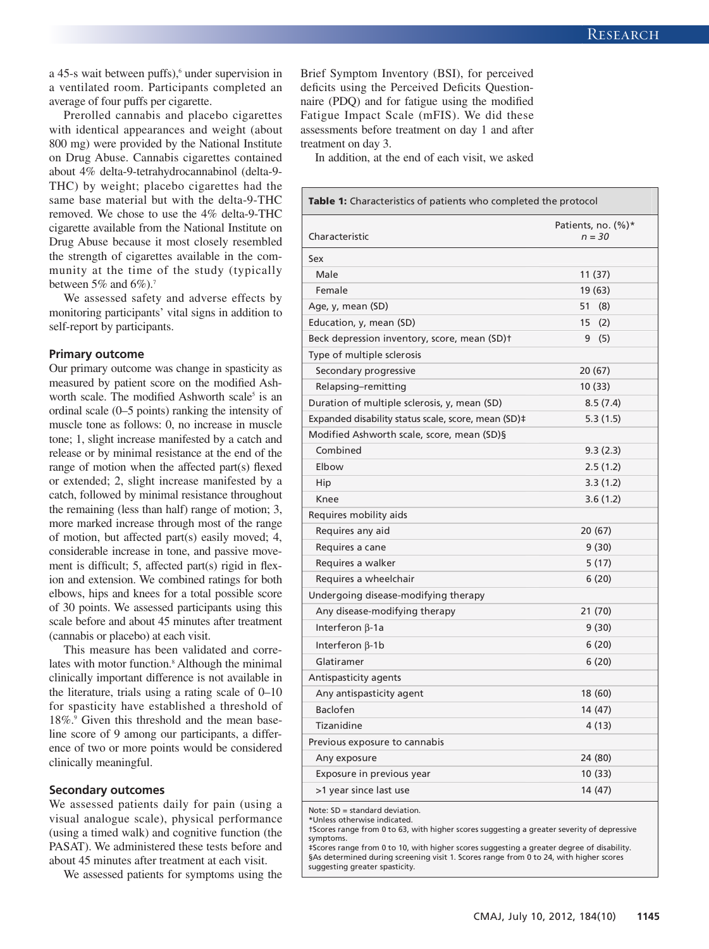a 45-s wait between puffs),<sup>6</sup> under supervision in a ventilated room. Participants completed an average of four puffs per cigarette.

Prerolled cannabis and placebo cigarettes with identical appearances and weight (about 800 mg) were provided by the National Institute on Drug Abuse. Cannabis cigarettes contained about 4% delta-9-tetrahydrocannabinol (delta-9- THC) by weight; placebo cigarettes had the same base material but with the delta-9-THC removed. We chose to use the 4% delta-9-THC cigarette available from the National Institute on Drug Abuse because it most closely resembled the strength of cigarettes available in the community at the time of the study (typically between  $5\%$  and  $6\%$ ).<sup>7</sup>

We assessed safety and adverse effects by monitoring participants' vital signs in addition to self-report by participants.

#### **Primary outcome**

Our primary outcome was change in spasticity as measured by patient score on the modified Ashworth scale. The modified Ashworth scale<sup>5</sup> is an ordinal scale (0–5 points) ranking the intensity of muscle tone as follows: 0, no increase in muscle tone; 1, slight increase manifested by a catch and release or by minimal resistance at the end of the range of motion when the affected part(s) flexed or extended; 2, slight increase manifested by a catch, followed by minimal resistance throughout the remaining (less than half) range of motion; 3, more marked increase through most of the range of motion, but affected part(s) easily moved; 4, considerable increase in tone, and passive movement is difficult; 5, affected part(s) rigid in flexion and extension. We combined ratings for both elbows, hips and knees for a total possible score of 30 points. We assessed participants using this scale before and about 45 minutes after treatment (cannabis or placebo) at each visit.

This measure has been validated and correlates with motor function.8 Although the minimal clinically important difference is not available in the literature, trials using a rating scale of 0–10 for spasticity have established a threshold of 18%.9 Given this threshold and the mean baseline score of 9 among our participants, a difference of two or more points would be considered clinically meaningful.

#### **Secondary outcomes**

We assessed patients daily for pain (using a visual analogue scale), physical performance (using a timed walk) and cognitive function (the PASAT). We administered these tests before and about 45 minutes after treatment at each visit.

We assessed patients for symptoms using the

Brief Symptom Inventory (BSI), for perceived deficits using the Perceived Deficits Questionnaire (PDQ) and for fatigue using the modified Fatigue Impact Scale (mFIS). We did these assessments before treatment on day 1 and after treatment on day 3.

In addition, at the end of each visit, we asked

| <b>Table 1:</b> Characteristics of patients who completed the protocol |                        |  |
|------------------------------------------------------------------------|------------------------|--|
|                                                                        | Patients, no. $(\%)^*$ |  |
| Characteristic                                                         | $n = 30$               |  |
| Sex                                                                    |                        |  |
| Male                                                                   | 11 (37)                |  |
| Female                                                                 | 19 (63)                |  |
| Age, y, mean (SD)                                                      | 51<br>(8)              |  |
| Education, y, mean (SD)                                                | 15<br>(2)              |  |
| Beck depression inventory, score, mean (SD)t                           | 9<br>(5)               |  |
| Type of multiple sclerosis                                             |                        |  |
| Secondary progressive                                                  | 20 (67)                |  |
| Relapsing-remitting                                                    | 10(33)                 |  |
| Duration of multiple sclerosis, y, mean (SD)                           | 8.5(7.4)               |  |
| Expanded disability status scale, score, mean (SD)#                    | 5.3(1.5)               |  |
| Modified Ashworth scale, score, mean (SD)§                             |                        |  |
| Combined                                                               | 9.3(2.3)               |  |
| Elbow                                                                  | 2.5(1.2)               |  |
| Hip                                                                    | 3.3(1.2)               |  |
| Knee                                                                   | 3.6(1.2)               |  |
| Requires mobility aids                                                 |                        |  |
| Requires any aid                                                       | 20 (67)                |  |
| Requires a cane                                                        | 9(30)                  |  |
| Requires a walker                                                      | 5 (17)                 |  |
| Requires a wheelchair                                                  | 6(20)                  |  |
| Undergoing disease-modifying therapy                                   |                        |  |
| Any disease-modifying therapy                                          | 21 (70)                |  |
| Interferon $\beta$ -1a                                                 | 9(30)                  |  |
| Interferon $\beta$ -1b                                                 | 6(20)                  |  |
| Glatiramer                                                             | 6(20)                  |  |
| Antispasticity agents                                                  |                        |  |
| Any antispasticity agent                                               | 18 (60)                |  |
| <b>Baclofen</b>                                                        | 14 (47)                |  |
| Tizanidine                                                             | 4(13)                  |  |
| Previous exposure to cannabis                                          |                        |  |
| Any exposure                                                           | 24 (80)                |  |
| Exposure in previous year                                              | 10(33)                 |  |
| >1 year since last use                                                 | 14 (47)                |  |
|                                                                        |                        |  |

Note: SD = standard deviation. \*Unless otherwise indicated.

†Scores range from 0 to 63, with higher scores suggesting a greater severity of depressive symptoms.

‡Scores range from 0 to 10, with higher scores suggesting a greater degree of disability. §As determined during screening visit 1. Scores range from 0 to 24, with higher scores suggesting greater spasticity.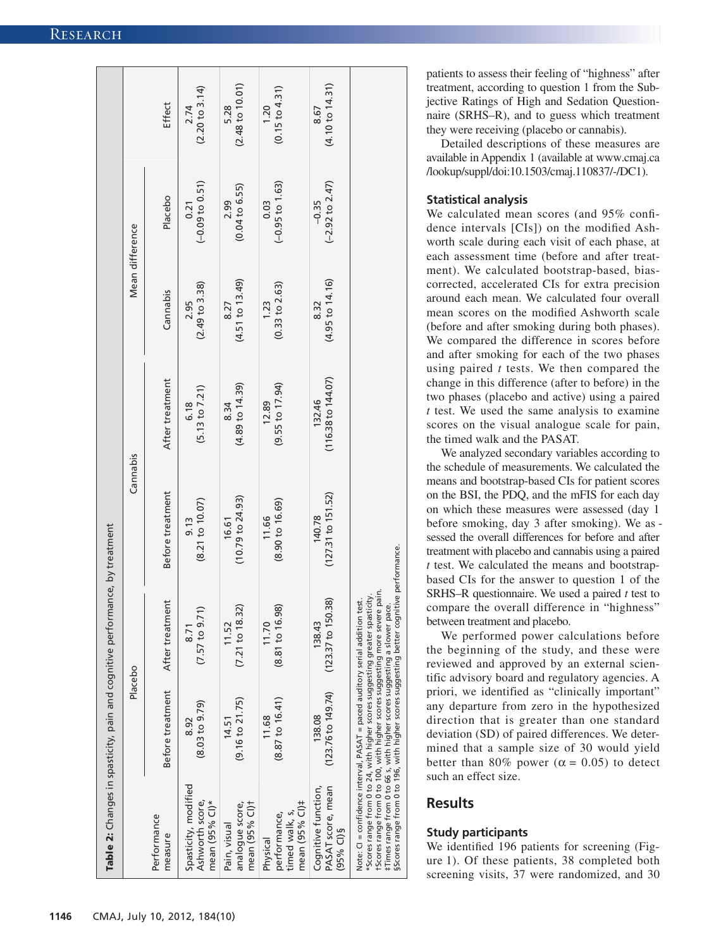|                                                              | Placebo                             |                                             | Cannabis                     |                                    | Mean difference          |                                       |                                    |
|--------------------------------------------------------------|-------------------------------------|---------------------------------------------|------------------------------|------------------------------------|--------------------------|---------------------------------------|------------------------------------|
| Performance<br>measure                                       | Before treatment                    | After treatment                             | Before treatment             | After treatment                    | Cannabis                 | Placebo                               | Effect                             |
| Spasticity, modified<br>Ashworth score,<br>mean (95% Cl)*    | $(8.03 \text{ to } 9.79)$<br>8.92   | (7.57 to 9.71)<br>8.71                      | (8.21 to 10.07)<br>9.13      | (5.13 to 7.21)<br>6.18             | $(2.49$ to 3.38)<br>2.95 | $(-0.09 to 0.51)$<br>0.21             | (2.20 to 3.14)<br>2.74             |
| mean (95% Cl)t<br>analogue score,<br>Pain, visual            | $(9.16 \text{ to } 21.75)$<br>14.51 | (7.21 to 18.32)<br>11.52                    | $(10.79$ to 24.93)<br>16.61  | $(4.89 \text{ to } 14.39)$<br>8.34 | (4.51 to 13.49)<br>8.27  | $(0.04 \text{ to } 6.55)$<br>2.99     | (2.48 to 10.01)<br>5.28            |
| mean (95% Cl)#<br>timed walk, s,<br>performance,<br>Physical | $(8.87 \text{ to } 16.41)$<br>11.68 | (8.81 to 16.98)<br>11.70                    | (8.90 t 0 16.69)<br>11.66    | (9.55 to 17.94)<br>12.89           | (0.33 to 2.63)<br>1.23   | $(-0.95 \text{ to } 1.63)$<br>0.03    | $(0.15 \text{ to } 4.31)$<br>1.20  |
| PASAT score, mean<br>Cognitive function,<br>$(95%$ CI) §     | (123.76 to 149.74)<br>138.08        | .38<br>$(123.37 \text{ to } 150.$<br>138.43 | (127.31 to 151.52)<br>140.78 | (116.38 to 144.07)<br>132.46       | (4.95 to 14.16)<br>8.32  | $(-2.92 \text{ to } 2.47)$<br>$-0.35$ | $(4.10 \text{ to } 14.31)$<br>8.67 |

patients to assess their feeling of "highness" after treatment, according to question 1 from the Subjective Ratings of High and Sedation Questionnaire (SRHS–R), and to guess which treatment they were receiving (placebo or cannabis).

Detailed descriptions of these measures are available in Appendix 1 (available at www .cmaj .ca /lookup /suppl /doi :10 .1503 /cmaj .110837 /-/DC1).

#### **Statistical analysis**

We calculated mean scores (and 95% confidence intervals [CIs]) on the modified Ashworth scale during each visit of each phase, at each assessment time (before and after treatment). We calculated bootstrap-based, biascorrected, accelerated CIs for extra precision around each mean. We calculated four overall mean scores on the modified Ashworth scale (before and after smoking during both phases). We compared the difference in scores before and after smoking for each of the two phases using paired *t* tests. We then compared the change in this difference (after to before) in the two phases (placebo and active) using a paired *t* test. We used the same analysis to examine scores on the visual analogue scale for pain, the timed walk and the PASAT.

We analyzed secondary variables according to the schedule of measurements. We calculated the means and bootstrap-based CIs for patient scores on the BSI, the PDQ, and the mFIS for each day on which these measures were assessed (day 1 before smoking, day 3 after smoking). We as sessed the overall differences for before and after treatment with placebo and cannabis using a paired *t* test. We calculated the means and bootstrapbased CIs for the answer to question 1 of the SRHS–R questionnaire. We used a paired *t* test to compare the overall difference in "highness" between treatment and placebo.

We performed power calculations before the beginning of the study, and these were reviewed and approved by an external scientific advisory board and regulatory agencies. A priori, we identified as "clinically important" any departure from zero in the hypothesized direction that is greater than one standard deviation (SD) of paired differences. We determined that a sample size of 30 would yield better than 80% power ( $\alpha$  = 0.05) to detect such an effect size.

# **Results**

## **Study participants**

We identified 196 patients for screening (Figure 1). Of these patients, 38 completed both screening visits, 37 were randomized, and 30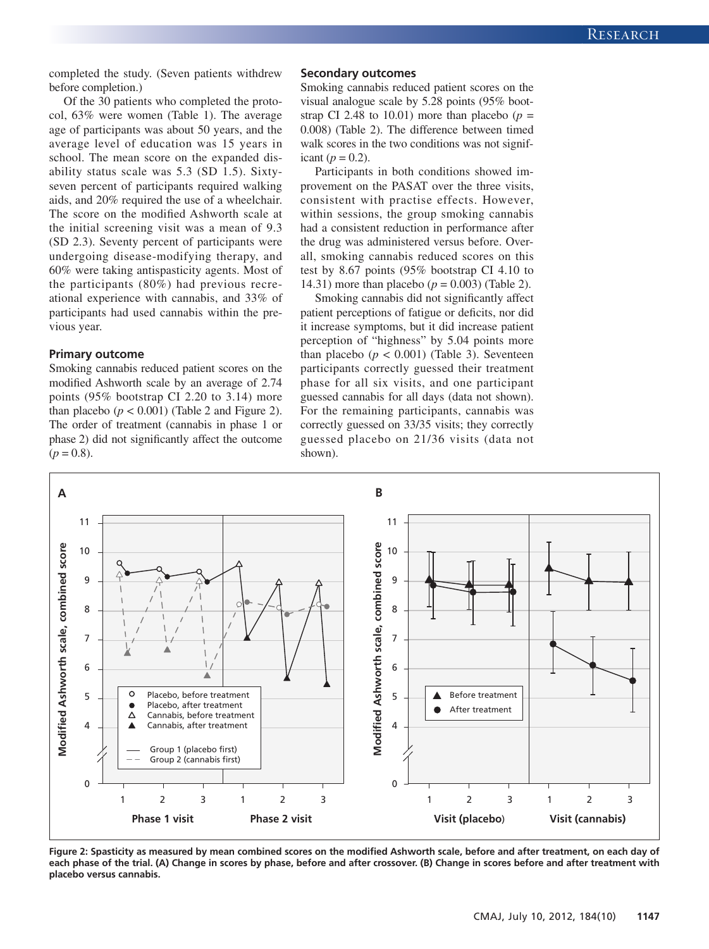completed the study. (Seven patients withdrew before completion.)

Of the 30 patients who completed the protocol, 63% were women (Table 1). The average age of participants was about 50 years, and the average level of education was 15 years in school. The mean score on the expanded disability status scale was 5.3 (SD 1.5). Sixtyseven percent of participants required walking aids, and 20% required the use of a wheelchair. The score on the modified Ashworth scale at the initial screening visit was a mean of 9.3 (SD 2.3). Seventy percent of participants were undergoing disease -modifying therapy, and 60% were taking antispasticity agents. Most of the participants (80%) had previous recreational experience with cannabis, and 33% of participants had used cannabis within the previous year.

#### **Primary outcome**

Smoking cannabis reduced patient scores on the modified Ashworth scale by an average of 2.74 points (95% bootstrap CI 2.20 to 3.14) more than placebo  $(p < 0.001)$  (Table 2 and Figure 2). The order of treatment (cannabis in phase 1 or phase 2) did not significantly affect the outcome  $(p = 0.8)$ .

#### **Secondary outcomes**

Smoking cannabis reduced patient scores on the visual analogue scale by 5.28 points (95% bootstrap CI 2.48 to 10.01) more than placebo ( $p =$ 0.008) (Table 2). The difference between timed walk scores in the two conditions was not significant ( $p = 0.2$ ).

Participants in both conditions showed improvement on the PASAT over the three visits, consistent with practise effects. However, within sessions, the group smoking cannabis had a consistent reduction in performance after the drug was administered versus before. Overall, smoking cannabis reduced scores on this test by 8.67 points (95% bootstrap CI 4.10 to 14.31) more than placebo ( $p = 0.003$ ) (Table 2).

Smoking cannabis did not significantly affect patient perceptions of fatigue or deficits, nor did it increase symptoms, but it did increase patient perception of "highness" by 5.04 points more than placebo  $(p < 0.001)$  (Table 3). Seventeen participants correctly guessed their treatment phase for all six visits, and one participant guessed cannabis for all days (data not shown). For the remaining participants, cannabis was correctly guessed on 33/35 visits; they correctly guessed placebo on 21/36 visits (data not shown).



**Figure 2: Spasticity as measured by mean combined scores on the modified Ashworth scale, before and after treatment, on each day of each phase of the trial. (A) Change in scores by phase, before and after crossover. (B) Change in scores before and after treatment with placebo versus cannabis.**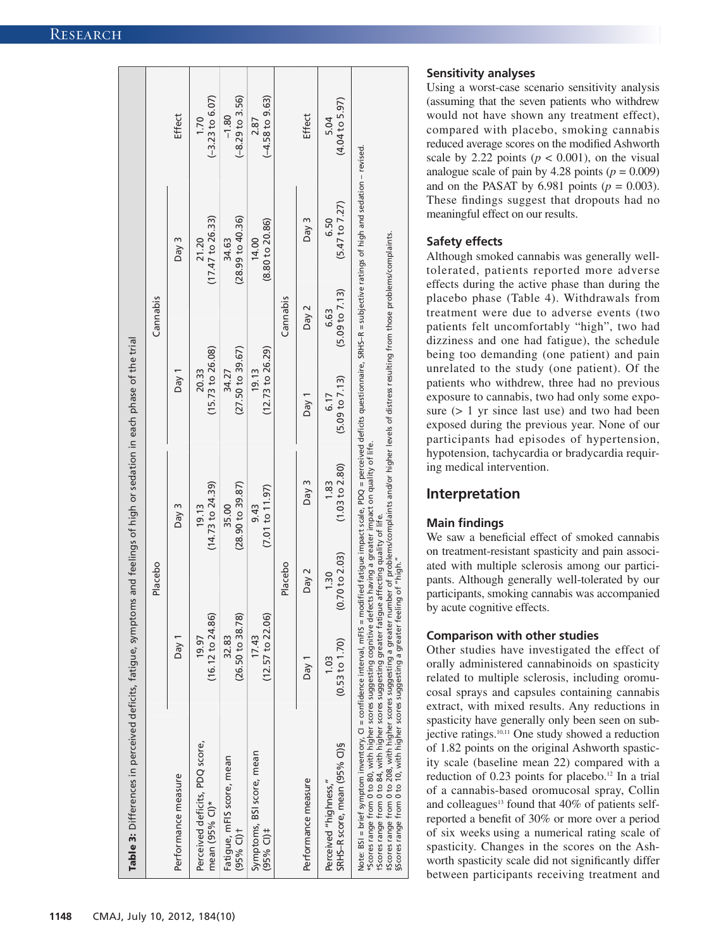| Table 3: Differences in perceived deficits, fatigue, symptoms and feelings of high or sedation in each phase of the trial |                                      | Placebo                           |                           |                             | Cannabis               |                                   |                                       |
|---------------------------------------------------------------------------------------------------------------------------|--------------------------------------|-----------------------------------|---------------------------|-----------------------------|------------------------|-----------------------------------|---------------------------------------|
| Performance measure                                                                                                       | Day 1                                |                                   | Day $3$                   | Day $1$                     |                        | Day 3                             | Effect                                |
| Perceived deficits, PDQ score,<br>mean (95% CI)*                                                                          | $(16.12 \text{ to } 24.86)$<br>19.97 |                                   | (14.73 to 24.39)<br>19.13 | (15.73 to 26.08)<br>20.33   |                        | $(17.47$ to 26.33)<br>21.20       | $(-3.23$ to $6.07)$<br>1.70           |
| Fatigue, mFIS score, mean<br>$(95%$ CI) <sup>+</sup>                                                                      | (26.50 to 38.78)<br>32.83            |                                   | (28.90 to 39.87)<br>35.00 | (27.50 to 39.67)<br>34.27   |                        | (28.99 to 40.36)<br>34.63         | $(-8.29 \text{ to } 3.56)$<br>$-1.80$ |
| Symptoms, BSI score, mean<br>$(95%$ Cl) <sup>#</sup>                                                                      | (12.57 to 22.06)<br>17.43            |                                   | (7.01 to 11.97)<br>9.43   | $(12.73$ to 26.29)<br>19.13 |                        | (8.80 to 20.86)<br>14.00          | $(-4.58 \text{ to } 9.63)$<br>2.87    |
|                                                                                                                           |                                      | Placebo                           |                           |                             | Cannabis               |                                   |                                       |
| Performance measure                                                                                                       | Day <sub>1</sub>                     | Day 2                             | Day 3                     | Day 1                       | Day 2                  | Day $3$                           | Effect                                |
| SRHS-R score, mean (95% Cl)§<br>Perceived "highness,"                                                                     | $(0.53 \text{ to } 1.70)$<br>1.03    | $(0.70 \text{ to } 2.03)$<br>1.30 | (1.03 to 2.80)<br>1.83    | (5.09 to 7.13)<br>6.17      | (5.09 to 7.13)<br>6.63 | $(5.47 \text{ to } 7.27)$<br>6.50 | $(4.04$ to 5.97)<br>5.04              |

# **Sensitivity analyses**

Using a worst-case scenario sensitivity analysis (assuming that the seven patients who withdrew would not have shown any treatment effect), compared with placebo, smoking cannabis reduced average scores on the modified Ashworth scale by 2.22 points ( $p < 0.001$ ), on the visual analogue scale of pain by  $4.28$  points ( $p = 0.009$ ) and on the PASAT by 6.981 points  $(p = 0.003)$ . These findings suggest that dropouts had no meaningful effect on our results.

## **Safety effects**

Although smoked cannabis was generally welltolerated, patients reported more adverse effects during the active phase than during the placebo phase (Table 4). Withdrawals from treatment were due to adverse events (two patients felt uncomfortably "high", two had dizziness and one had fatigue), the schedule being too demanding (one patient) and pain unrelated to the study (one patient). Of the patients who withdrew, three had no previous exposure to cannabis, two had only some exposure (> 1 yr since last use) and two had been exposed during the previous year. None of our participants had episodes of hypertension, hypotension, tachycardia or bradycardia requiring medical intervention.

# **Interpretation**

## **Main findings**

We saw a beneficial effect of smoked cannabis on treatment-resistant spasticity and pain associated with multiple sclerosis among our participants. Although generally well-tolerated by our participants, smoking cannabis was accompanied by acute cognitive effects.

## **Comparison with other studies**

Other studies have investigated the effect of orally administered cannabinoids on spasticity related to multiple sclerosis, including oromucosal sprays and capsules containing cannabis extract, with mixed results. Any reductions in spasticity have generally only been seen on subjective ratings.<sup>10,11</sup> One study showed a reduction of 1.82 points on the original Ashworth spasticity scale (baseline mean 22) compared with a reduction of 0.23 points for placebo.<sup>12</sup> In a trial of a cannabis-based oromucosal spray, Collin and colleagues<sup>13</sup> found that  $40\%$  of patients selfreported a benefit of 30% or more over a period of six weeks using a numerical rating scale of spasticity. Changes in the scores on the Ashworth spasticity scale did not significantly differ between participants receiving treatment and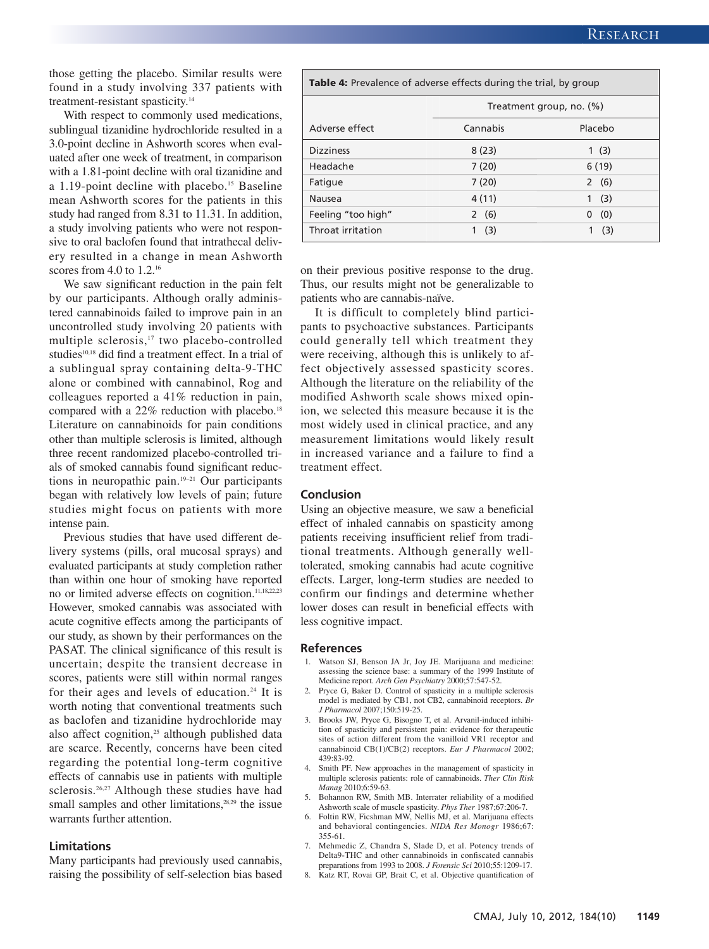those getting the placebo. Similar results were found in a study involving 337 patients with treatment-resistant spasticity.<sup>14</sup>

With respect to commonly used medications, sublingual tizanidine hydrochloride resulted in a 3.0-point decline in Ashworth scores when evaluated after one week of treatment, in comparison with a 1.81-point decline with oral tizanidine and a 1.19-point decline with placebo.<sup>15</sup> Baseline mean Ashworth scores for the patients in this study had ranged from 8.31 to 11.31. In addition, a study involving patients who were not responsive to oral baclofen found that intrathecal delivery resulted in a change in mean Ashworth scores from 4.0 to 1.2.<sup>16</sup>

We saw significant reduction in the pain felt by our participants. Although orally administered cannabinoids failed to improve pain in an uncontrolled study involving 20 patients with multiple sclerosis,<sup>17</sup> two placebo-controlled studies<sup>10,18</sup> did find a treatment effect. In a trial of a sublingual spray containing delta-9-THC alone or combined with cannabinol, Rog and colleagues reported a 41% reduction in pain, compared with a  $22\%$  reduction with placebo.<sup>18</sup> Literature on cannabinoids for pain conditions other than multiple sclerosis is limited, although three recent randomized placebo-controlled trials of smoked cannabis found significant reductions in neuropathic pain.19–21 Our participants began with relatively low levels of pain; future studies might focus on patients with more intense pain.

Previous studies that have used different delivery systems (pills, oral mucosal sprays) and evaluated participants at study completion rather than within one hour of smoking have reported no or limited adverse effects on cognition.11,18,22,23 However, smoked cannabis was associated with acute cognitive effects among the participants of our study, as shown by their performances on the PASAT. The clinical significance of this result is uncertain; despite the transient decrease in scores, patients were still within normal ranges for their ages and levels of education.<sup>24</sup> It is worth noting that conventional treatments such as baclofen and tizanidine hydrochloride may also affect cognition,<sup>25</sup> although published data are scarce. Recently, concerns have been cited regarding the potential long-term cognitive effects of cannabis use in patients with multiple sclerosis.<sup>26,27</sup> Although these studies have had small samples and other limitations, $28,29$  the issue warrants further attention.

#### **Limitations**

Many participants had previously used cannabis, raising the possibility of self-selection bias based

| <b>Table 4:</b> Prevalence of adverse effects during the trial, by group |                          |          |  |  |
|--------------------------------------------------------------------------|--------------------------|----------|--|--|
|                                                                          | Treatment group, no. (%) |          |  |  |
| Adverse effect                                                           | Cannabis                 | Placebo  |  |  |
| <b>Dizziness</b>                                                         | 8(23)                    | 1(3)     |  |  |
| Headache                                                                 | 7(20)                    | 6(19)    |  |  |
| Fatigue                                                                  | 7(20)                    | 2(6)     |  |  |
| Nausea                                                                   | 4(11)                    | (3)<br>1 |  |  |
| Feeling "too high"                                                       | 2(6)                     | (0)<br>0 |  |  |
| Throat irritation                                                        | (3)                      | (3)      |  |  |

on their previous positive response to the drug. Thus, our results might not be generalizable to patients who are cannabis-naïve.

It is difficult to completely blind participants to psychoactive substances. Participants could generally tell which treatment they were receiving, although this is unlikely to af fect objectively assessed spasticity scores. Although the literature on the reliability of the modified Ashworth scale shows mixed opinion, we selected this measure because it is the most widely used in clinical practice, and any measurement limitations would likely result in increased variance and a failure to find a treatment effect.

#### **Conclusion**

Using an objective measure, we saw a beneficial effect of inhaled cannabis on spasticity among patients receiving insufficient relief from traditional treatments. Although generally welltolerated, smoking cannabis had acute cognitive effects. Larger, long-term studies are needed to confirm our findings and determine whether lower doses can result in beneficial effects with less cognitive impact.

#### **References**

- 1. Watson SJ, Benson JA Jr, Joy JE. Marijuana and medicine: assessing the science base: a summary of the 1999 Institute of Medicine report. *Arch Gen Psychiatry* 2000;57:547-52.
- 2. Pryce G, Baker D. Control of spasticity in a multiple sclerosis model is mediated by CB1, not CB2, cannabinoid receptors. *Br J Pharmacol* 2007;150:519-25.
- 3. Brooks JW, Pryce G, Bisogno T, et al. Arvanil-induced inhibition of spasticity and persistent pain: evidence for therapeutic sites of action different from the vanilloid VR1 receptor and cannabinoid CB(1)/CB(2) receptors. *Eur J Pharmacol* 2002; 439: 83-92.
- 4. Smith PF. New approaches in the management of spasticity in multiple sclerosis patients: role of cannabinoids. *Ther Clin Risk Manag* 2010;6:59-63.
- 5. Bohannon RW, Smith MB. Interrater reliability of a modified Ashworth scale of muscle spasticity. *Phys Ther* 1987;67:206-7.
- 6. Foltin RW, Ficshman MW, Nellis MJ, et al. Marijuana effects and behavioral contingencies. *NIDA Res Monogr* 1986;67: 355-61.
- 7. Mehmedic Z, Chandra S, Slade D, et al. Potency trends of Delta9-THC and other cannabinoids in confiscated cannabis preparations from 1993 to 2008. *J Forensic Sci* 2010;55:1209-17.
- 8. Katz RT, Rovai GP, Brait C, et al. Objective quantification of